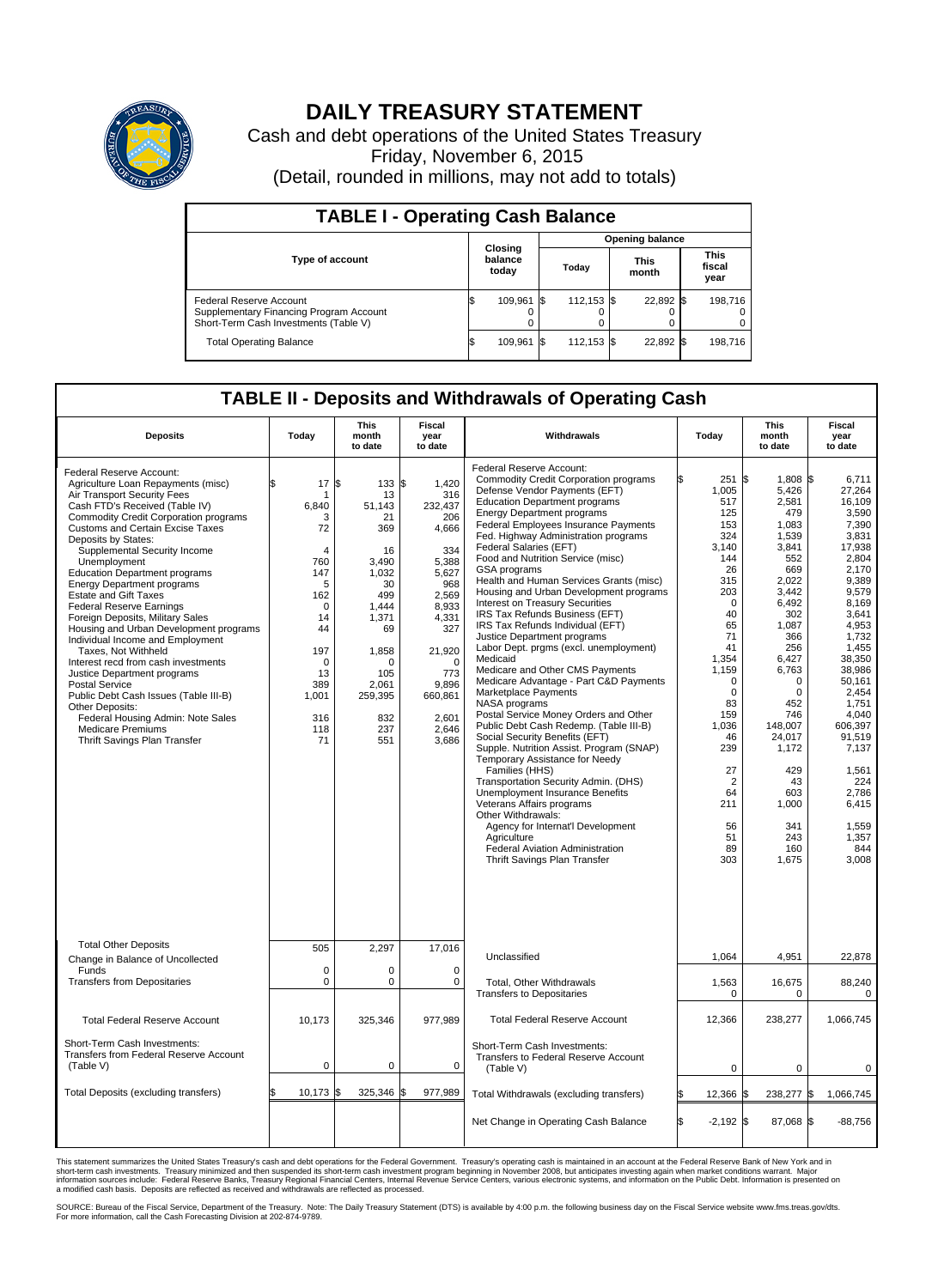

## **DAILY TREASURY STATEMENT**

Cash and debt operations of the United States Treasury Friday, November 6, 2015 (Detail, rounded in millions, may not add to totals)

| <b>TABLE I - Operating Cash Balance</b>                                                                     |  |                             |  |                        |  |                      |  |                               |  |
|-------------------------------------------------------------------------------------------------------------|--|-----------------------------|--|------------------------|--|----------------------|--|-------------------------------|--|
|                                                                                                             |  |                             |  | <b>Opening balance</b> |  |                      |  |                               |  |
| <b>Type of account</b>                                                                                      |  | Closing<br>balance<br>today |  | Todav                  |  | <b>This</b><br>month |  | <b>This</b><br>fiscal<br>year |  |
| Federal Reserve Account<br>Supplementary Financing Program Account<br>Short-Term Cash Investments (Table V) |  | 109,961                     |  | 112,153 \$             |  | 22,892 \$            |  | 198,716                       |  |
| <b>Total Operating Balance</b>                                                                              |  | 109,961                     |  | 112,153 \$             |  | 22,892 \$            |  | 198,716                       |  |

## **TABLE II - Deposits and Withdrawals of Operating Cash**

| <b>Deposits</b>                                                                                                                                                                                                                                                                                                                                                                                                                                                                                                                                                                                                                                                                                                                                                                                                                                 | Today                                                                                                                                              | <b>This</b><br>month<br>to date                                                                                                                                    | <b>Fiscal</b><br>year<br>to date                                                                                                                                                         | Withdrawals                                                                                                                                                                                                                                                                                                                                                                                                                                                                                                                                                                                                                                                                                                                                                                                                                                                                                                                                                                                                                                                                                                                                                                                                                              | Today                                                                                                                                                                                                                                                    | <b>This</b><br>month<br>to date                                                                                                                                                                                                                                                  | Fiscal<br>year<br>to date                                                                                                                                                                                                                                                                                  |
|-------------------------------------------------------------------------------------------------------------------------------------------------------------------------------------------------------------------------------------------------------------------------------------------------------------------------------------------------------------------------------------------------------------------------------------------------------------------------------------------------------------------------------------------------------------------------------------------------------------------------------------------------------------------------------------------------------------------------------------------------------------------------------------------------------------------------------------------------|----------------------------------------------------------------------------------------------------------------------------------------------------|--------------------------------------------------------------------------------------------------------------------------------------------------------------------|------------------------------------------------------------------------------------------------------------------------------------------------------------------------------------------|------------------------------------------------------------------------------------------------------------------------------------------------------------------------------------------------------------------------------------------------------------------------------------------------------------------------------------------------------------------------------------------------------------------------------------------------------------------------------------------------------------------------------------------------------------------------------------------------------------------------------------------------------------------------------------------------------------------------------------------------------------------------------------------------------------------------------------------------------------------------------------------------------------------------------------------------------------------------------------------------------------------------------------------------------------------------------------------------------------------------------------------------------------------------------------------------------------------------------------------|----------------------------------------------------------------------------------------------------------------------------------------------------------------------------------------------------------------------------------------------------------|----------------------------------------------------------------------------------------------------------------------------------------------------------------------------------------------------------------------------------------------------------------------------------|------------------------------------------------------------------------------------------------------------------------------------------------------------------------------------------------------------------------------------------------------------------------------------------------------------|
| Federal Reserve Account:<br>Agriculture Loan Repayments (misc)<br>Air Transport Security Fees<br>Cash FTD's Received (Table IV)<br><b>Commodity Credit Corporation programs</b><br><b>Customs and Certain Excise Taxes</b><br>Deposits by States:<br>Supplemental Security Income<br>Unemployment<br><b>Education Department programs</b><br><b>Energy Department programs</b><br><b>Estate and Gift Taxes</b><br><b>Federal Reserve Earnings</b><br>Foreign Deposits, Military Sales<br>Housing and Urban Development programs<br>Individual Income and Employment<br>Taxes. Not Withheld<br>Interest recd from cash investments<br>Justice Department programs<br>Postal Service<br>Public Debt Cash Issues (Table III-B)<br>Other Deposits:<br>Federal Housing Admin: Note Sales<br><b>Medicare Premiums</b><br>Thrift Savings Plan Transfer | \$<br>17<br>-1<br>6,840<br>3<br>72<br>4<br>760<br>147<br>5<br>162<br>$\mathbf 0$<br>14<br>44<br>197<br>0<br>13<br>389<br>1,001<br>316<br>118<br>71 | \$<br>133S<br>13<br>51.143<br>21<br>369<br>16<br>3,490<br>1,032<br>30<br>499<br>1.444<br>1,371<br>69<br>1,858<br>O<br>105<br>2,061<br>259,395<br>832<br>237<br>551 | 1,420<br>316<br>232.437<br>206<br>4,666<br>334<br>5,388<br>5,627<br>968<br>2,569<br>8,933<br>4,331<br>327<br>21,920<br>$\mathbf 0$<br>773<br>9,896<br>660,861<br>2,601<br>2,646<br>3,686 | Federal Reserve Account:<br><b>Commodity Credit Corporation programs</b><br>Defense Vendor Payments (EFT)<br><b>Education Department programs</b><br><b>Energy Department programs</b><br>Federal Employees Insurance Payments<br>Fed. Highway Administration programs<br>Federal Salaries (EFT)<br>Food and Nutrition Service (misc)<br>GSA programs<br>Health and Human Services Grants (misc)<br>Housing and Urban Development programs<br>Interest on Treasury Securities<br>IRS Tax Refunds Business (EFT)<br>IRS Tax Refunds Individual (EFT)<br>Justice Department programs<br>Labor Dept. prgms (excl. unemployment)<br>Medicaid<br>Medicare and Other CMS Payments<br>Medicare Advantage - Part C&D Payments<br>Marketplace Payments<br>NASA programs<br>Postal Service Money Orders and Other<br>Public Debt Cash Redemp. (Table III-B)<br>Social Security Benefits (EFT)<br>Supple. Nutrition Assist. Program (SNAP)<br>Temporary Assistance for Needy<br>Families (HHS)<br>Transportation Security Admin. (DHS)<br>Unemployment Insurance Benefits<br>Veterans Affairs programs<br>Other Withdrawals:<br>Agency for Internat'l Development<br>Agriculture<br>Federal Aviation Administration<br>Thrift Savings Plan Transfer | 251S<br>1,005<br>517<br>125<br>153<br>324<br>3.140<br>144<br>26<br>315<br>203<br>$\mathbf 0$<br>40<br>65<br>71<br>41<br>1,354<br>1,159<br>$\mathbf 0$<br>$\mathbf 0$<br>83<br>159<br>1,036<br>46<br>239<br>27<br>2<br>64<br>211<br>56<br>51<br>89<br>303 | 1.808 \$<br>5,426<br>2,581<br>479<br>1,083<br>1,539<br>3,841<br>552<br>669<br>2,022<br>3.442<br>6,492<br>302<br>1,087<br>366<br>256<br>6.427<br>6,763<br>0<br>$\mathbf 0$<br>452<br>746<br>148.007<br>24,017<br>1,172<br>429<br>43<br>603<br>1,000<br>341<br>243<br>160<br>1,675 | 6.711<br>27,264<br>16.109<br>3,590<br>7,390<br>3,831<br>17,938<br>2.804<br>2,170<br>9.389<br>9.579<br>8,169<br>3,641<br>4.953<br>1,732<br>1,455<br>38.350<br>38,986<br>50,161<br>2,454<br>1.751<br>4,040<br>606,397<br>91,519<br>7,137<br>1,561<br>224<br>2,786<br>6,415<br>1,559<br>1,357<br>844<br>3,008 |
| <b>Total Other Deposits</b><br>Change in Balance of Uncollected                                                                                                                                                                                                                                                                                                                                                                                                                                                                                                                                                                                                                                                                                                                                                                                 | 505                                                                                                                                                | 2,297                                                                                                                                                              | 17,016                                                                                                                                                                                   | Unclassified                                                                                                                                                                                                                                                                                                                                                                                                                                                                                                                                                                                                                                                                                                                                                                                                                                                                                                                                                                                                                                                                                                                                                                                                                             | 1,064                                                                                                                                                                                                                                                    | 4,951                                                                                                                                                                                                                                                                            | 22,878                                                                                                                                                                                                                                                                                                     |
| Funds<br><b>Transfers from Depositaries</b>                                                                                                                                                                                                                                                                                                                                                                                                                                                                                                                                                                                                                                                                                                                                                                                                     | $\mathbf 0$<br>$\mathbf 0$                                                                                                                         | 0<br>0                                                                                                                                                             | 0<br>0                                                                                                                                                                                   | <b>Total, Other Withdrawals</b><br><b>Transfers to Depositaries</b>                                                                                                                                                                                                                                                                                                                                                                                                                                                                                                                                                                                                                                                                                                                                                                                                                                                                                                                                                                                                                                                                                                                                                                      | 1,563<br>$\mathbf 0$                                                                                                                                                                                                                                     | 16,675<br>$\mathbf 0$                                                                                                                                                                                                                                                            | 88,240<br>$\mathbf 0$                                                                                                                                                                                                                                                                                      |
| <b>Total Federal Reserve Account</b>                                                                                                                                                                                                                                                                                                                                                                                                                                                                                                                                                                                                                                                                                                                                                                                                            | 10.173                                                                                                                                             | 325,346                                                                                                                                                            | 977,989                                                                                                                                                                                  | <b>Total Federal Reserve Account</b>                                                                                                                                                                                                                                                                                                                                                                                                                                                                                                                                                                                                                                                                                                                                                                                                                                                                                                                                                                                                                                                                                                                                                                                                     | 12,366                                                                                                                                                                                                                                                   | 238,277                                                                                                                                                                                                                                                                          | 1.066.745                                                                                                                                                                                                                                                                                                  |
| Short-Term Cash Investments:<br><b>Transfers from Federal Reserve Account</b><br>(Table V)                                                                                                                                                                                                                                                                                                                                                                                                                                                                                                                                                                                                                                                                                                                                                      | $\pmb{0}$                                                                                                                                          | 0                                                                                                                                                                  | 0                                                                                                                                                                                        | Short-Term Cash Investments:<br>Transfers to Federal Reserve Account<br>(Table V)                                                                                                                                                                                                                                                                                                                                                                                                                                                                                                                                                                                                                                                                                                                                                                                                                                                                                                                                                                                                                                                                                                                                                        | 0                                                                                                                                                                                                                                                        | 0                                                                                                                                                                                                                                                                                | 0                                                                                                                                                                                                                                                                                                          |
| Total Deposits (excluding transfers)                                                                                                                                                                                                                                                                                                                                                                                                                                                                                                                                                                                                                                                                                                                                                                                                            | 10,173<br>\$                                                                                                                                       | 325,346<br>ß.                                                                                                                                                      | \$<br>977,989                                                                                                                                                                            | Total Withdrawals (excluding transfers)                                                                                                                                                                                                                                                                                                                                                                                                                                                                                                                                                                                                                                                                                                                                                                                                                                                                                                                                                                                                                                                                                                                                                                                                  | 12,366 \$                                                                                                                                                                                                                                                | 238,277 \$                                                                                                                                                                                                                                                                       | 1,066,745                                                                                                                                                                                                                                                                                                  |
|                                                                                                                                                                                                                                                                                                                                                                                                                                                                                                                                                                                                                                                                                                                                                                                                                                                 |                                                                                                                                                    |                                                                                                                                                                    |                                                                                                                                                                                          | Net Change in Operating Cash Balance                                                                                                                                                                                                                                                                                                                                                                                                                                                                                                                                                                                                                                                                                                                                                                                                                                                                                                                                                                                                                                                                                                                                                                                                     | Ŝ.<br>$-2,192$ \$                                                                                                                                                                                                                                        | 87,068 \$                                                                                                                                                                                                                                                                        | $-88,756$                                                                                                                                                                                                                                                                                                  |

This statement summarizes the United States Treasury's cash and debt operations for the Federal Government. Treasury's operating cash is maintained in an account at the Federal Reserve Bank of New York and in<br>short-term ca

SOURCE: Bureau of the Fiscal Service, Department of the Treasury. Note: The Daily Treasury Statement (DTS) is available by 4:00 p.m. the following business day on the Fiscal Service website www.fms.treas.gov/dts.<br>For more